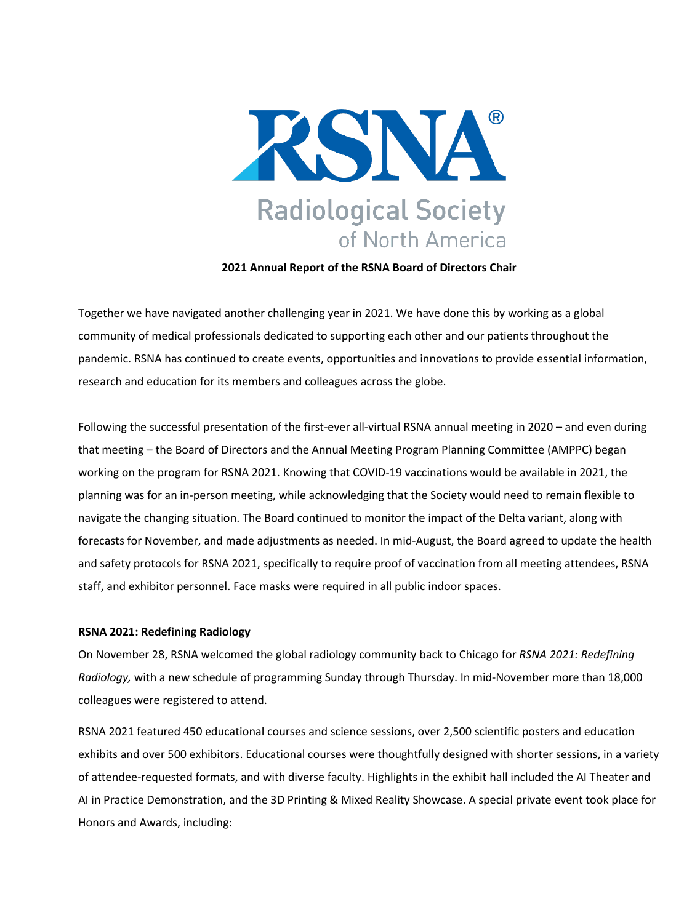

**2021 Annual Report of the RSNA Board of Directors Chair**

Together we have navigated another challenging year in 2021. We have done this by working as a global community of medical professionals dedicated to supporting each other and our patients throughout the pandemic. RSNA has continued to create events, opportunities and innovations to provide essential information, research and education for its members and colleagues across the globe.

Following the successful presentation of the first-ever all-virtual RSNA annual meeting in 2020 – and even during that meeting – the Board of Directors and the Annual Meeting Program Planning Committee (AMPPC) began working on the program for RSNA 2021. Knowing that COVID-19 vaccinations would be available in 2021, the planning was for an in-person meeting, while acknowledging that the Society would need to remain flexible to navigate the changing situation. The Board continued to monitor the impact of the Delta variant, along with forecasts for November, and made adjustments as needed. In mid-August, the Board agreed to update the health and safety protocols for RSNA 2021, specifically to require proof of vaccination from all meeting attendees, RSNA staff, and exhibitor personnel. Face masks were required in all public indoor spaces.

## **RSNA 2021: Redefining Radiology**

On November 28, RSNA welcomed the global radiology community back to Chicago for *RSNA 2021: Redefining Radiology,* with a new schedule of programming Sunday through Thursday. In mid-November more than 18,000 colleagues were registered to attend.

RSNA 2021 featured 450 educational courses and science sessions, over 2,500 scientific posters and education exhibits and over 500 exhibitors. Educational courses were thoughtfully designed with shorter sessions, in a variety of attendee-requested formats, and with diverse faculty. Highlights in the exhibit hall included the AI Theater and AI in Practice Demonstration, and the 3D Printing & Mixed Reality Showcase. A special private event took place for Honors and Awards, including: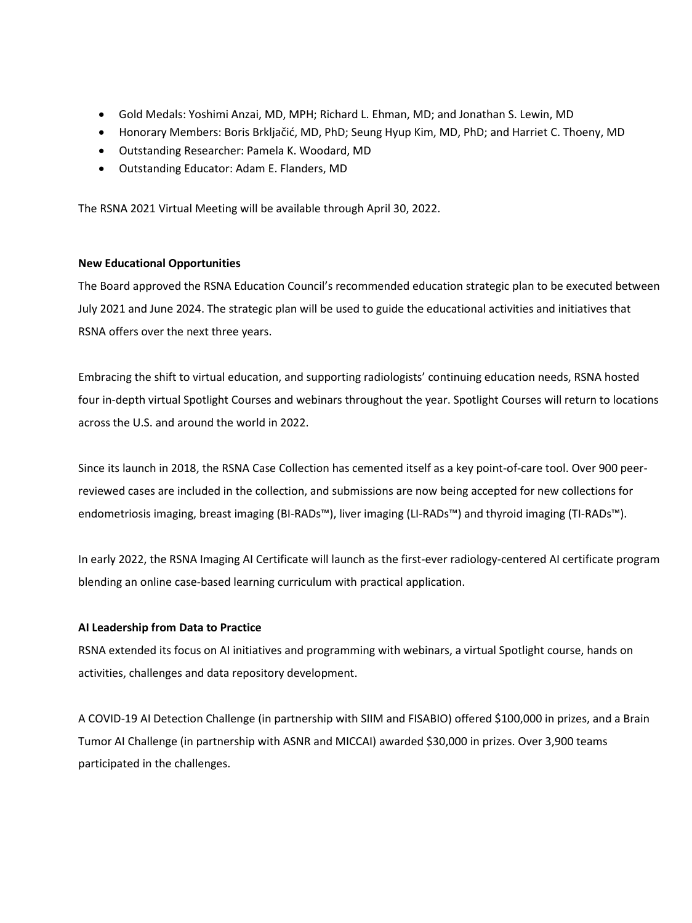- Gold Medals: Yoshimi Anzai, MD, MPH; Richard L. Ehman, MD; and Jonathan S. Lewin, MD
- Honorary Members: Boris Brkljačić, MD, PhD; Seung Hyup Kim, MD, PhD; and Harriet C. Thoeny, MD
- Outstanding Researcher: Pamela K. Woodard, MD
- Outstanding Educator: Adam E. Flanders, MD

The RSNA 2021 Virtual Meeting will be available through April 30, 2022.

## **New Educational Opportunities**

The Board approved the RSNA Education Council's recommended education strategic plan to be executed between July 2021 and June 2024. The strategic plan will be used to guide the educational activities and initiatives that RSNA offers over the next three years.

Embracing the shift to virtual education, and supporting radiologists' continuing education needs, RSNA hosted four in-depth virtual Spotlight Courses and webinars throughout the year. Spotlight Courses will return to locations across the U.S. and around the world in 2022.

Since its launch in 2018, the RSNA Case Collection has cemented itself as a key point-of-care tool. Over 900 peerreviewed cases are included in the collection, and submissions are now being accepted for new collections for endometriosis imaging, breast imaging (BI-RADs™), liver imaging (LI-RADs™) and thyroid imaging (TI-RADs™).

In early 2022, the RSNA Imaging AI Certificate will launch as the first-ever radiology-centered AI certificate program blending an online case-based learning curriculum with practical application.

# **AI Leadership from Data to Practice**

RSNA extended its focus on AI initiatives and programming with webinars, a virtual Spotlight course, hands on activities, challenges and data repository development.

A COVID-19 AI Detection Challenge (in partnership with SIIM and FISABIO) offered \$100,000 in prizes, and a Brain Tumor AI Challenge (in partnership with ASNR and MICCAI) awarded \$30,000 in prizes. Over 3,900 teams participated in the challenges.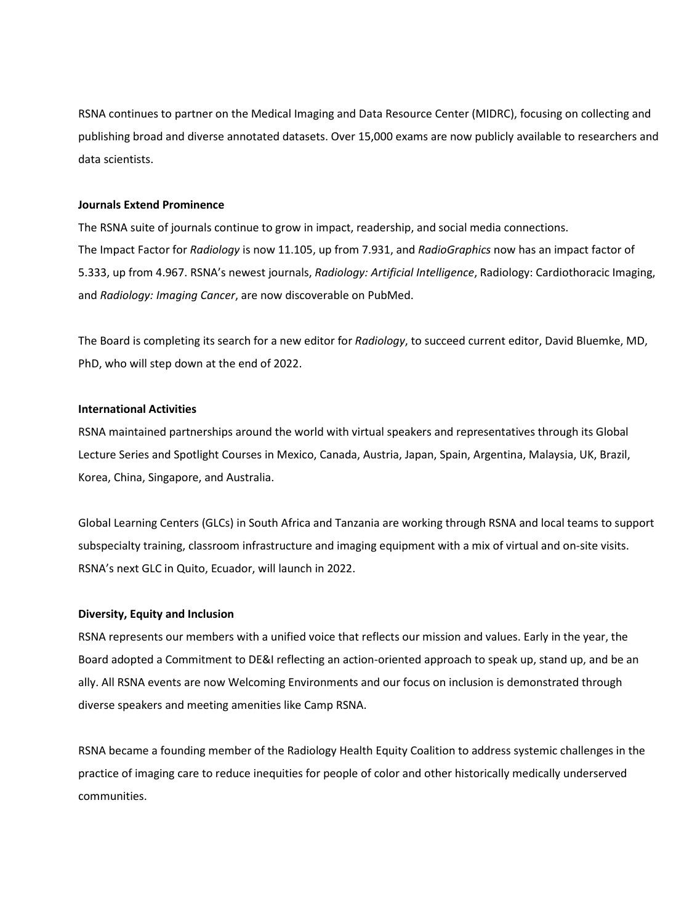RSNA continues to partner on the Medical Imaging and Data Resource Center (MIDRC), focusing on collecting and publishing broad and diverse annotated datasets. Over 15,000 exams are now publicly available to researchers and data scientists.

## **Journals Extend Prominence**

The RSNA suite of journals continue to grow in impact, readership, and social media connections. The Impact Factor for *Radiology* is now 11.105, up from 7.931, and *RadioGraphics* now has an impact factor of 5.333, up from 4.967. RSNA's newest journals, *Radiology: Artificial Intelligence*, Radiology: Cardiothoracic Imaging, and *Radiology: Imaging Cancer*, are now discoverable on PubMed.

The Board is completing its search for a new editor for *Radiology*, to succeed current editor, David Bluemke, MD, PhD, who will step down at the end of 2022.

## **International Activities**

RSNA maintained partnerships around the world with virtual speakers and representatives through its Global Lecture Series and Spotlight Courses in Mexico, Canada, Austria, Japan, Spain, Argentina, Malaysia, UK, Brazil, Korea, China, Singapore, and Australia.

Global Learning Centers (GLCs) in South Africa and Tanzania are working through RSNA and local teams to support subspecialty training, classroom infrastructure and imaging equipment with a mix of virtual and on-site visits. RSNA's next GLC in Quito, Ecuador, will launch in 2022.

## **Diversity, Equity and Inclusion**

RSNA represents our members with a unified voice that reflects our mission and values. Early in the year, the Board adopted a Commitment to DE&I reflecting an action-oriented approach to speak up, stand up, and be an ally. All RSNA events are now Welcoming Environments and our focus on inclusion is demonstrated through diverse speakers and meeting amenities like Camp RSNA.

RSNA became a founding member of the Radiology Health Equity Coalition to address systemic challenges in the practice of imaging care to reduce inequities for people of color and other historically medically underserved communities.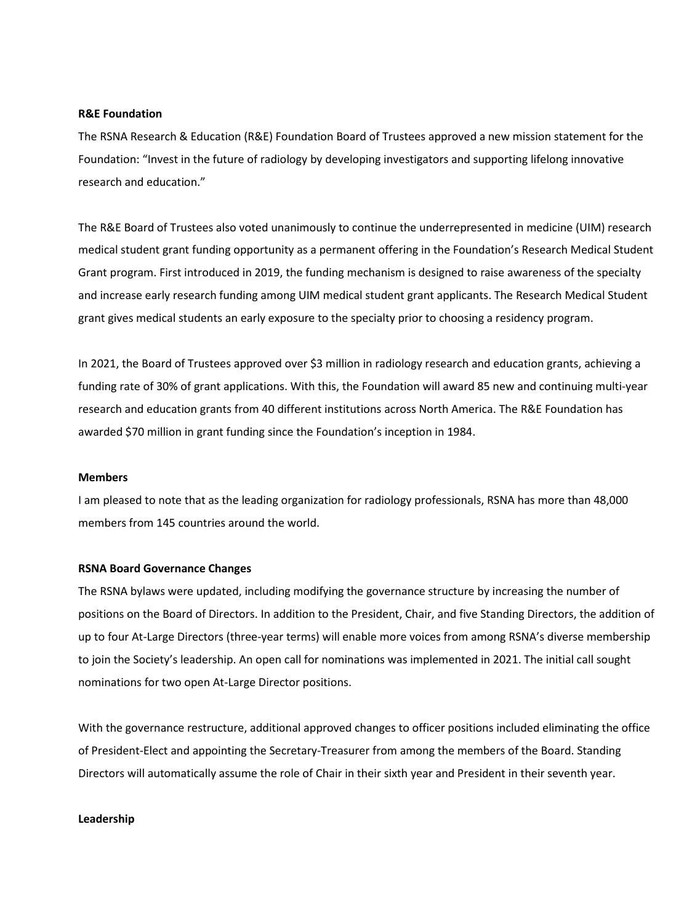#### **R&E Foundation**

The RSNA Research & Education (R&E) Foundation Board of Trustees approved a new mission statement for the Foundation: "Invest in the future of radiology by developing investigators and supporting lifelong innovative research and education."

The R&E Board of Trustees also voted unanimously to continue the underrepresented in medicine (UIM) research medical student grant funding opportunity as a permanent offering in the Foundation's Research Medical Student Grant program. First introduced in 2019, the funding mechanism is designed to raise awareness of the specialty and increase early research funding among UIM medical student grant applicants. The Research Medical Student grant gives medical students an early exposure to the specialty prior to choosing a residency program.

In 2021, the Board of Trustees approved over \$3 million in radiology research and education grants, achieving a funding rate of 30% of grant applications. With this, the Foundation will award 85 new and continuing multi-year research and education grants from 40 different institutions across North America. The R&E Foundation has awarded \$70 million in grant funding since the Foundation's inception in 1984.

#### **Members**

I am pleased to note that as the leading organization for radiology professionals, RSNA has more than 48,000 members from 145 countries around the world.

#### **RSNA Board Governance Changes**

The RSNA bylaws were updated, including modifying the governance structure by increasing the number of positions on the Board of Directors. In addition to the President, Chair, and five Standing Directors, the addition of up to four At-Large Directors (three-year terms) will enable more voices from among RSNA's diverse membership to join the Society's leadership. An open call for nominations was implemented in 2021. The initial call sought nominations for two open At-Large Director positions.

With the governance restructure, additional approved changes to officer positions included eliminating the office of President-Elect and appointing the Secretary-Treasurer from among the members of the Board. Standing Directors will automatically assume the role of Chair in their sixth year and President in their seventh year.

#### **Leadership**